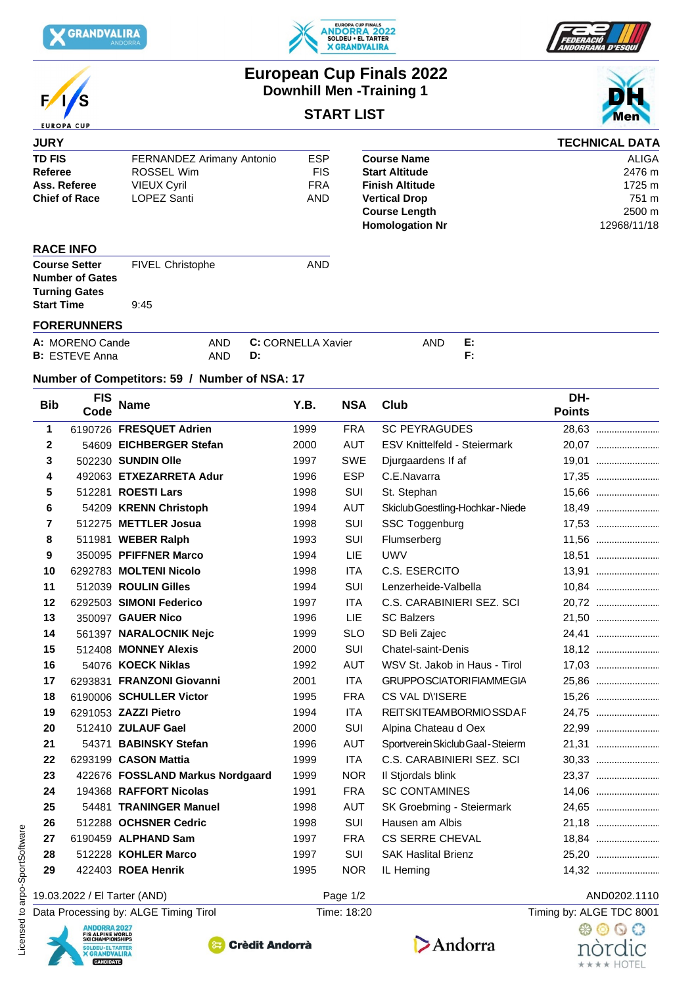

E





## **European Cup Finals 2022 Downhill Men -Training 1**

## **START LIST**



## **Number of Competitors: 59 / Number of NSA: 17**

| <b>Bib</b>   | <b>FIS</b><br>Code                                                                                                   | <b>Name</b>                      | Y.B. | <b>NSA</b>  | Club                                | DH-<br><b>Points</b>     |
|--------------|----------------------------------------------------------------------------------------------------------------------|----------------------------------|------|-------------|-------------------------------------|--------------------------|
| 1            |                                                                                                                      | 6190726 FRESQUET Adrien          | 1999 | <b>FRA</b>  | <b>SC PEYRAGUDES</b>                | 28,63                    |
| $\mathbf{2}$ |                                                                                                                      | 54609 EICHBERGER Stefan          | 2000 | <b>AUT</b>  | <b>ESV Knittelfeld - Steiermark</b> | 20,07                    |
| 3            |                                                                                                                      | 502230 SUNDIN Olle               | 1997 | SWE         | Djurgaardens If af                  | 19,01                    |
| 4            |                                                                                                                      | 492063 ETXEZARRETA Adur          | 1996 | <b>ESP</b>  | C.E.Navarra                         | 17,35                    |
| 5            |                                                                                                                      | 512281 ROESTI Lars               | 1998 | SUI         | St. Stephan                         | 15,66                    |
| 6            |                                                                                                                      | 54209 KRENN Christoph            | 1994 | AUT         | Skiclub Goestling-Hochkar-Niede     |                          |
| 7            |                                                                                                                      | 512275 METTLER Josua             | 1998 | SUI         | SSC Toggenburg                      | 17,53                    |
| 8            |                                                                                                                      | 511981 WEBER Ralph               | 1993 | SUI         | Flumserberg                         | 11,56                    |
| 9            |                                                                                                                      | 350095 PFIFFNER Marco            | 1994 | LIE         | <b>UWV</b>                          | 18,51                    |
| 10           |                                                                                                                      | 6292783 MOLTENI Nicolo           | 1998 | <b>ITA</b>  | C.S. ESERCITO                       | 13,91                    |
| 11           |                                                                                                                      | 512039 ROULIN Gilles             | 1994 | SUI         | Lenzerheide-Valbella                | 10,84                    |
| 12           |                                                                                                                      | 6292503 SIMONI Federico          | 1997 | <b>ITA</b>  | C.S. CARABINIERI SEZ. SCI           | 20,72                    |
| 13           |                                                                                                                      | 350097 GAUER Nico                | 1996 | LIE         | <b>SC Balzers</b>                   | 21,50                    |
| 14           |                                                                                                                      | 561397 NARALOCNIK Nejc           | 1999 | <b>SLO</b>  | SD Beli Zajec                       | 24,41                    |
| 15           |                                                                                                                      | 512408 MONNEY Alexis             | 2000 | SUI         | <b>Chatel-saint-Denis</b>           |                          |
| 16           |                                                                                                                      | 54076 KOECK Niklas               | 1992 | <b>AUT</b>  | WSV St. Jakob in Haus - Tirol       |                          |
| 17           |                                                                                                                      | 6293831 FRANZONI Giovanni        | 2001 | <b>ITA</b>  | <b>GRUPPOSCIATORIFIAMMEGIA</b>      | 25,86                    |
| 18           |                                                                                                                      | 6190006 SCHULLER Victor          | 1995 | <b>FRA</b>  | CS VAL DISERE                       | 15,26                    |
| 19           |                                                                                                                      | 6291053 ZAZZI Pietro             | 1994 | <b>ITA</b>  | <b>REITSKITEAMBORMIOSSDAF</b>       | 24,75                    |
| 20           |                                                                                                                      | 512410 ZULAUF Gael               | 2000 | SUI         | Alpina Chateau d Oex                | 22,99                    |
| 21           |                                                                                                                      | 54371 BABINSKY Stefan            | 1996 | <b>AUT</b>  | Sportverein Skiclub Gaal - Steierm  | 21,31                    |
| 22           |                                                                                                                      | 6293199 CASON Mattia             | 1999 | <b>ITA</b>  | C.S. CARABINIERI SEZ. SCI           |                          |
| 23           |                                                                                                                      | 422676 FOSSLAND Markus Nordgaard | 1999 | <b>NOR</b>  | Il Stjordals blink                  | 23,37                    |
| 24           |                                                                                                                      | 194368 RAFFORT Nicolas           | 1991 | <b>FRA</b>  | <b>SC CONTAMINES</b>                | 14,06                    |
| 25           |                                                                                                                      | 54481 TRANINGER Manuel           | 1998 | AUT         | SK Groebming - Steiermark           | 24,65                    |
| 26           |                                                                                                                      | 512288 OCHSNER Cedric            | 1998 | SUI         | Hausen am Albis                     | 21,18                    |
| 27           |                                                                                                                      | 6190459 ALPHAND Sam              | 1997 | FRA         | <b>CS SERRE CHEVAL</b>              | 18,84                    |
| 28           |                                                                                                                      | 512228 KOHLER Marco              | 1997 | SUI         | <b>SAK Haslital Brienz</b>          | 25,20                    |
| 29           |                                                                                                                      | 422403 ROEA Henrik               | 1995 | <b>NOR</b>  | IL Heming                           | 14,32                    |
|              | 19.03.2022 / El Tarter (AND)                                                                                         |                                  |      | Page 1/2    |                                     | AND0202.1110             |
|              | Data Processing by: ALGE Timing Tirol                                                                                |                                  |      | Time: 18:20 |                                     | Timing by: ALGE TDC 8001 |
|              | <b>ANDORRA 2027</b>                                                                                                  |                                  |      |             |                                     | 68 O Q C                 |
|              | <b>FIS ALPINE WORLD<br/>SKI CHAMPIONSHIPS</b><br><b>Crèdit Andorrà</b><br>SOLDEU · EL TARTER<br><b>X GRANDVALIRA</b> |                                  |      |             | Andorra                             | nòrdıc                   |

CANDIDATE

## 19.03.2022 / El Tarter (AND) Page 1/2 AND0202.1110